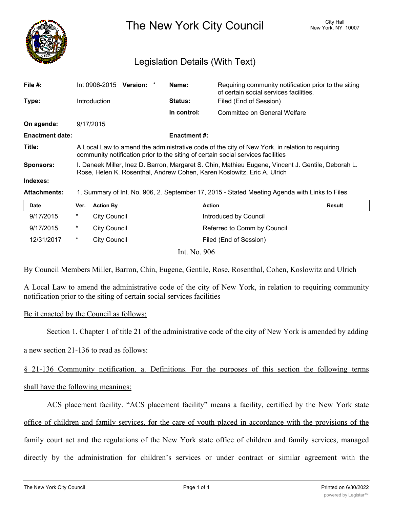

The New York City Council New York, NY 10007

## Legislation Details (With Text)

| File $#$ :             | Int 0906-2015                                                                                                                                                                      | Version: * |  | Name:               | Requiring community notification prior to the siting<br>of certain social services facilities. |  |
|------------------------|------------------------------------------------------------------------------------------------------------------------------------------------------------------------------------|------------|--|---------------------|------------------------------------------------------------------------------------------------|--|
| Type:                  | <b>Introduction</b>                                                                                                                                                                |            |  | <b>Status:</b>      | Filed (End of Session)                                                                         |  |
|                        |                                                                                                                                                                                    |            |  | In control:         | Committee on General Welfare                                                                   |  |
| On agenda:             | 9/17/2015                                                                                                                                                                          |            |  |                     |                                                                                                |  |
| <b>Enactment date:</b> |                                                                                                                                                                                    |            |  | <b>Enactment #:</b> |                                                                                                |  |
| Title:                 | A Local Law to amend the administrative code of the city of New York, in relation to requiring<br>community notification prior to the siting of certain social services facilities |            |  |                     |                                                                                                |  |
| <b>Sponsors:</b>       | I. Daneek Miller, Inez D. Barron, Margaret S. Chin, Mathieu Eugene, Vincent J. Gentile, Deborah L.<br>Rose, Helen K. Rosenthal, Andrew Cohen, Karen Koslowitz, Eric A. Ulrich      |            |  |                     |                                                                                                |  |
| Indexes:               |                                                                                                                                                                                    |            |  |                     |                                                                                                |  |
| <b>Attachments:</b>    | 1. Summary of Int. No. 906, 2. September 17, 2015 - Stated Meeting Agenda with Links to Files                                                                                      |            |  |                     |                                                                                                |  |

| <b>Date</b> | Ver. | <b>Action By</b>    | <b>Action</b>               | <b>Result</b> |
|-------------|------|---------------------|-----------------------------|---------------|
| 9/17/2015   | *    | City Council        | Introduced by Council       |               |
| 9/17/2015   | *    | City Council        | Referred to Comm by Council |               |
| 12/31/2017  | *    | <b>City Council</b> | Filed (End of Session)      |               |
|             |      | $T \times 3T$ $000$ |                             |               |

Int. No. 906

By Council Members Miller, Barron, Chin, Eugene, Gentile, Rose, Rosenthal, Cohen, Koslowitz and Ulrich

A Local Law to amend the administrative code of the city of New York, in relation to requiring community notification prior to the siting of certain social services facilities

## Be it enacted by the Council as follows:

Section 1. Chapter 1 of title 21 of the administrative code of the city of New York is amended by adding

a new section 21-136 to read as follows:

§ 21-136 Community notification. a. Definitions. For the purposes of this section the following terms

shall have the following meanings:

ACS placement facility. "ACS placement facility" means a facility, certified by the New York state

office of children and family services, for the care of youth placed in accordance with the provisions of the

family court act and the regulations of the New York state office of children and family services, managed

directly by the administration for children's services or under contract or similar agreement with the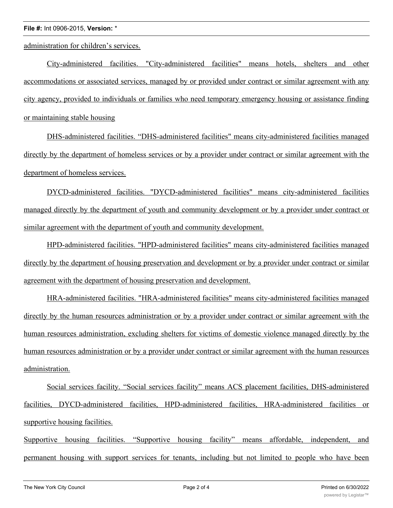## **File #:** Int 0906-2015, **Version:** \*

administration for children's services.

City-administered facilities. "City-administered facilities" means hotels, shelters and other accommodations or associated services, managed by or provided under contract or similar agreement with any city agency, provided to individuals or families who need temporary emergency housing or assistance finding or maintaining stable housing

DHS-administered facilities. "DHS-administered facilities" means city-administered facilities managed directly by the department of homeless services or by a provider under contract or similar agreement with the department of homeless services.

DYCD-administered facilities. "DYCD-administered facilities" means city-administered facilities managed directly by the department of youth and community development or by a provider under contract or similar agreement with the department of youth and community development.

HPD-administered facilities. "HPD-administered facilities" means city-administered facilities managed directly by the department of housing preservation and development or by a provider under contract or similar agreement with the department of housing preservation and development.

HRA-administered facilities. "HRA-administered facilities" means city-administered facilities managed directly by the human resources administration or by a provider under contract or similar agreement with the human resources administration, excluding shelters for victims of domestic violence managed directly by the human resources administration or by a provider under contract or similar agreement with the human resources administration.

Social services facility. "Social services facility" means ACS placement facilities, DHS-administered facilities, DYCD-administered facilities, HPD-administered facilities, HRA-administered facilities or supportive housing facilities.

Supportive housing facilities. "Supportive housing facility" means affordable, independent, and permanent housing with support services for tenants, including but not limited to people who have been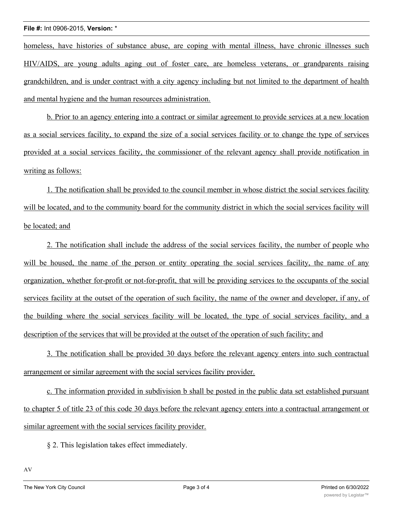homeless, have histories of substance abuse, are coping with mental illness, have chronic illnesses such HIV/AIDS, are young adults aging out of foster care, are homeless veterans, or grandparents raising grandchildren, and is under contract with a city agency including but not limited to the department of health and mental hygiene and the human resources administration.

b. Prior to an agency entering into a contract or similar agreement to provide services at a new location as a social services facility, to expand the size of a social services facility or to change the type of services provided at a social services facility, the commissioner of the relevant agency shall provide notification in writing as follows:

1. The notification shall be provided to the council member in whose district the social services facility will be located, and to the community board for the community district in which the social services facility will be located; and

2. The notification shall include the address of the social services facility, the number of people who will be housed, the name of the person or entity operating the social services facility, the name of any organization, whether for-profit or not-for-profit, that will be providing services to the occupants of the social services facility at the outset of the operation of such facility, the name of the owner and developer, if any, of the building where the social services facility will be located, the type of social services facility, and a description of the services that will be provided at the outset of the operation of such facility; and

3. The notification shall be provided 30 days before the relevant agency enters into such contractual arrangement or similar agreement with the social services facility provider.

c. The information provided in subdivision b shall be posted in the public data set established pursuant to chapter 5 of title 23 of this code 30 days before the relevant agency enters into a contractual arrangement or similar agreement with the social services facility provider.

§ 2. This legislation takes effect immediately.